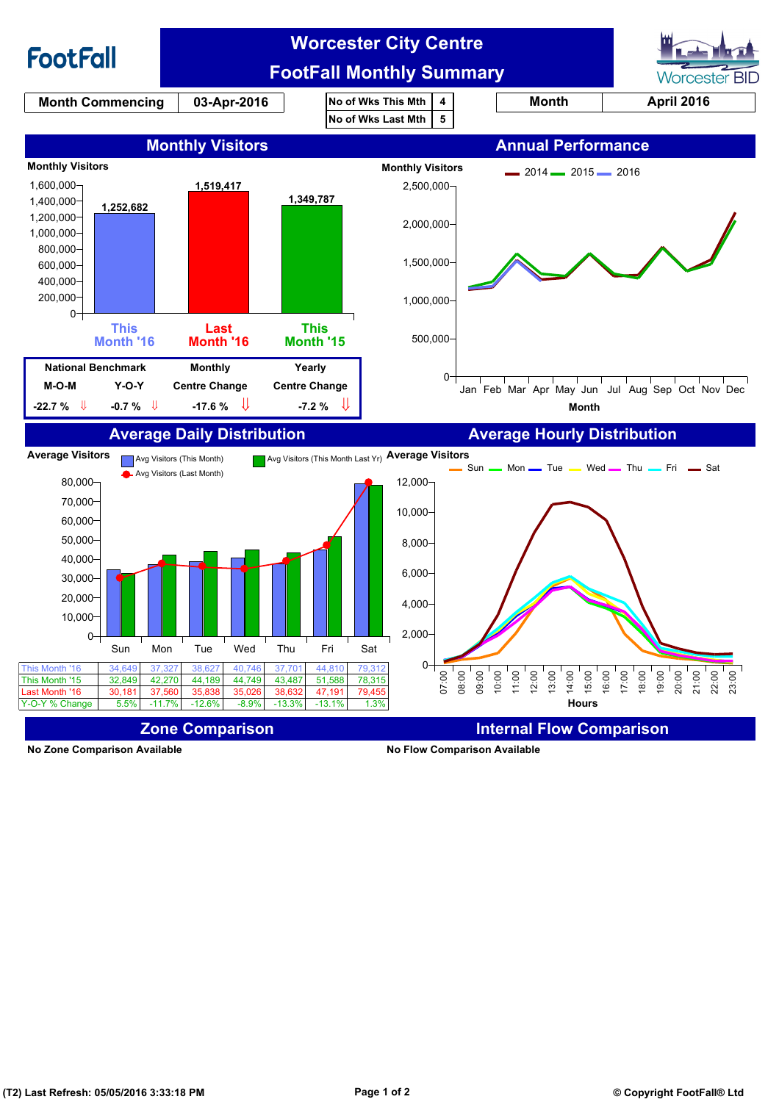

**No Zone Comparison Available No Flow Comparison Available**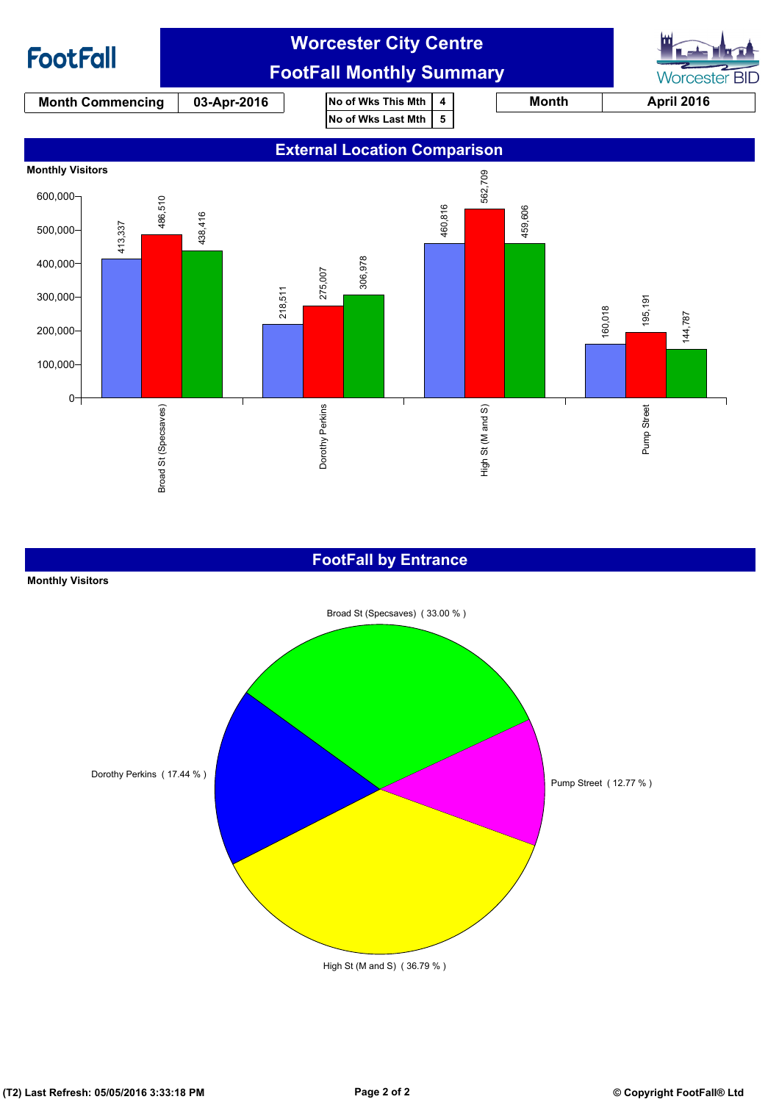

### **FootFall by Entrance**

#### **Monthly Visitors**